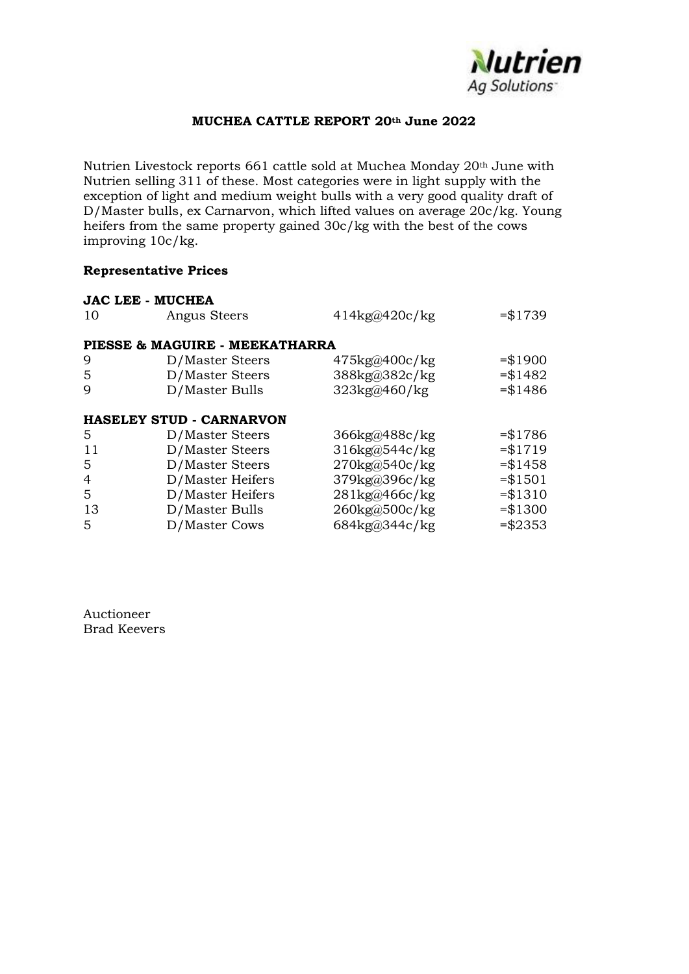

## **MUCHEA CATTLE REPORT 20th June 2022**

Nutrien Livestock reports 661 cattle sold at Muchea Monday 20th June with Nutrien selling 311 of these. Most categories were in light supply with the exception of light and medium weight bulls with a very good quality draft of D/Master bulls, ex Carnarvon, which lifted values on average 20c/kg. Young heifers from the same property gained 30c/kg with the best of the cows improving 10c/kg.

## **Representative Prices**

| <b>JAC LEE - MUCHEA</b>         |                                      |                                |  |  |  |  |
|---------------------------------|--------------------------------------|--------------------------------|--|--|--|--|
| Angus Steers                    | $414\text{kg@}420\text{c}/\text{kg}$ | $= $1739$                      |  |  |  |  |
|                                 |                                      |                                |  |  |  |  |
| PIESSE & MAGUIRE - MEEKATHARRA  |                                      |                                |  |  |  |  |
| D/Master Steers                 | 475kg@400c/kg                        | $= $1900$                      |  |  |  |  |
| D/Master Steers                 | 388kg@382c/kg                        | $= $1482$                      |  |  |  |  |
| D/Master Bulls                  | 323kg@460/kg                         | $= $1486$                      |  |  |  |  |
|                                 |                                      |                                |  |  |  |  |
| <b>HASELEY STUD - CARNARVON</b> |                                      |                                |  |  |  |  |
| D/Master Steers                 | 366kg@488c/kg                        | $= $1786$                      |  |  |  |  |
| D/Master Steers                 | 316kg@544c/kg                        | $= $1719$                      |  |  |  |  |
| D/Master Steers                 | 270kg@540c/kg                        | $= $1458$                      |  |  |  |  |
| D/Master Heifers                | 379kg@396c/kg                        | $= $1501$                      |  |  |  |  |
| D/Master Heifers                | 281kg@466c/kg                        | $= $1310$                      |  |  |  |  |
| D/Master Bulls                  | 260kg@500c/kg                        | $= $1300$                      |  |  |  |  |
|                                 |                                      | $= $2353$                      |  |  |  |  |
|                                 |                                      | 684kg@344c/kg<br>D/Master Cows |  |  |  |  |

Auctioneer Brad Keevers